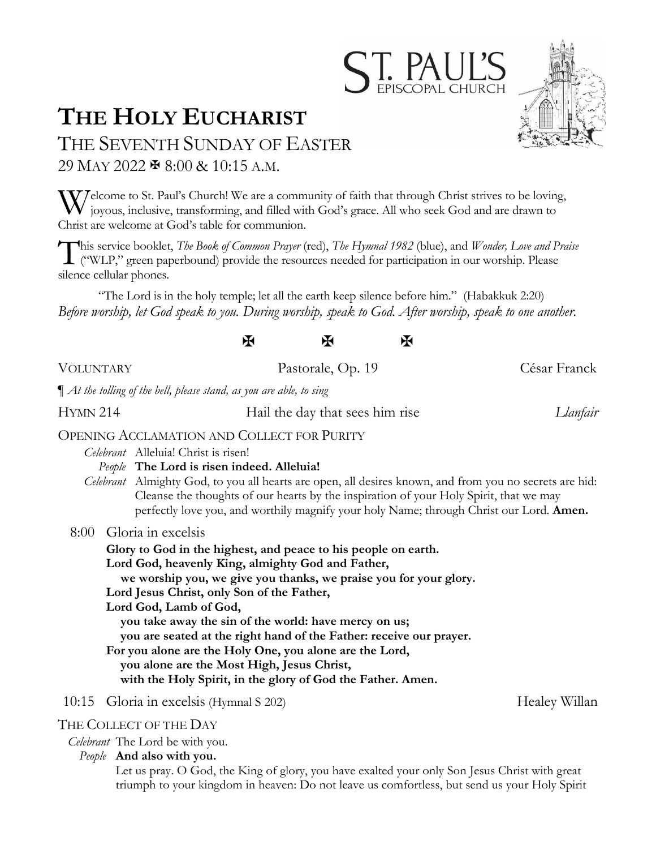



# **THE HOLY EUCHARIST**

THE SEVENTH SUNDAY OF EASTER

29 MAY 2022  $\blacktriangleright$  8:00 & 10:15 A.M.

Welcome to St. Paul's Church! We are a community of faith that through Christ strives to be loving, joyous, inclusive, transforming, and filled with God's grace. All who seek God and are drawn to joyous, inclusive, transforming, and filled with God's grace. All who seek God and are drawn to Christ are welcome at God's table for communion.

This service booklet, *The Book of Common Prayer* (red), *The Hymnal 1982* (blue), and *Wonder*, Love and Praise ("WLP," green paperbound) provide the resources needed for participation in our worship. Please ("WLP," green paperbound) provide the resources needed for participation in our worship. Please silence cellular phones.

"The Lord is in the holy temple; let all the earth keep silence before him." (Habakkuk 2:20) *Before worship, let God speak to you. During worship, speak to God. After worship, speak to one another.*

# **K** K

VOLUNTARY Pastorale, Op. 19 César Franck

*¶ At the tolling of the bell, please stand, as you are able, to sing*

HYMN 214 Hail the day that sees him rise *Llanfair*

### OPENING ACCLAMATION AND COLLECT FOR PURITY

*Celebrant* Alleluia! Christ is risen!

*People* **The Lord is risen indeed. Alleluia!**

*Celebrant* Almighty God, to you all hearts are open, all desires known, and from you no secrets are hid: Cleanse the thoughts of our hearts by the inspiration of your Holy Spirit, that we may perfectly love you, and worthily magnify your holy Name; through Christ our Lord. **Amen.**

8:00 Gloria in excelsis

**Glory to God in the highest, and peace to his people on earth. Lord God, heavenly King, almighty God and Father, we worship you, we give you thanks, we praise you for your glory. Lord Jesus Christ, only Son of the Father, Lord God, Lamb of God, you take away the sin of the world: have mercy on us; you are seated at the right hand of the Father: receive our prayer. For you alone are the Holy One, you alone are the Lord, you alone are the Most High, Jesus Christ, with the Holy Spirit, in the glory of God the Father. Amen.**

10:15 Gloria in excelsis (Hymnal S 202) Healey Willan

### THE COLLECT OF THE DAY

*Celebrant* The Lord be with you.

### *People* **And also with you.**

Let us pray. O God, the King of glory, you have exalted your only Son Jesus Christ with great triumph to your kingdom in heaven: Do not leave us comfortless, but send us your Holy Spirit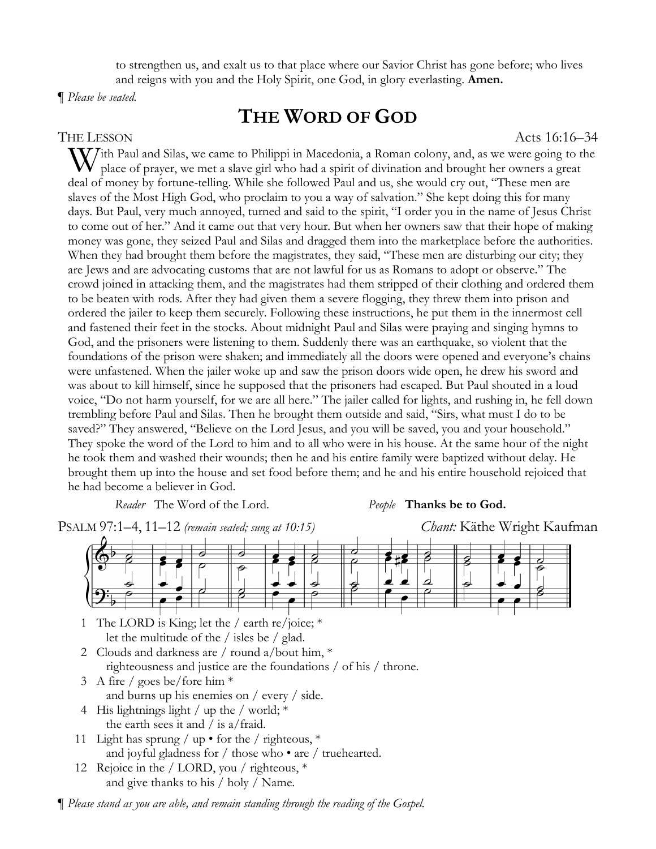to strengthen us, and exalt us to that place where our Savior Christ has gone before; who lives and reigns with you and the Holy Spirit, one God, in glory everlasting. **Amen.**

*¶ Please be seated.*

# **THE WORD OF GOD**

THE LESSON Acts 16:16–34

With Paul and Silas, we came to Philippi in Macedonia, a Roman colony, and, as we were going to the place of prayer, we met a slave girl who had a spirit of divination and brought her owners a great place of prayer, we met a slave girl who had a spirit of divination and brought her owners a great deal of money by fortune-telling. While she followed Paul and us, she would cry out, "These men are slaves of the Most High God, who proclaim to you a way of salvation." She kept doing this for many days. But Paul, very much annoyed, turned and said to the spirit, "I order you in the name of Jesus Christ to come out of her." And it came out that very hour. But when her owners saw that their hope of making money was gone, they seized Paul and Silas and dragged them into the marketplace before the authorities. When they had brought them before the magistrates, they said, "These men are disturbing our city; they are Jews and are advocating customs that are not lawful for us as Romans to adopt or observe." The crowd joined in attacking them, and the magistrates had them stripped of their clothing and ordered them to be beaten with rods. After they had given them a severe flogging, they threw them into prison and ordered the jailer to keep them securely. Following these instructions, he put them in the innermost cell and fastened their feet in the stocks. About midnight Paul and Silas were praying and singing hymns to God, and the prisoners were listening to them. Suddenly there was an earthquake, so violent that the foundations of the prison were shaken; and immediately all the doors were opened and everyone's chains were unfastened. When the jailer woke up and saw the prison doors wide open, he drew his sword and was about to kill himself, since he supposed that the prisoners had escaped. But Paul shouted in a loud voice, "Do not harm yourself, for we are all here." The jailer called for lights, and rushing in, he fell down trembling before Paul and Silas. Then he brought them outside and said, "Sirs, what must I do to be saved?" They answered, "Believe on the Lord Jesus, and you will be saved, you and your household." They spoke the word of the Lord to him and to all who were in his house. At the same hour of the night he took them and washed their wounds; then he and his entire family were baptized without delay. He brought them up into the house and set food before them; and he and his entire household rejoiced that he had become a believer in God.

*Reader* The Word of the Lord. *People* **Thanks be to God.**

PSALM 97:1–4, 11–12 *(remain seated; sung at 10:15) Chant:* Käthe Wright Kaufman

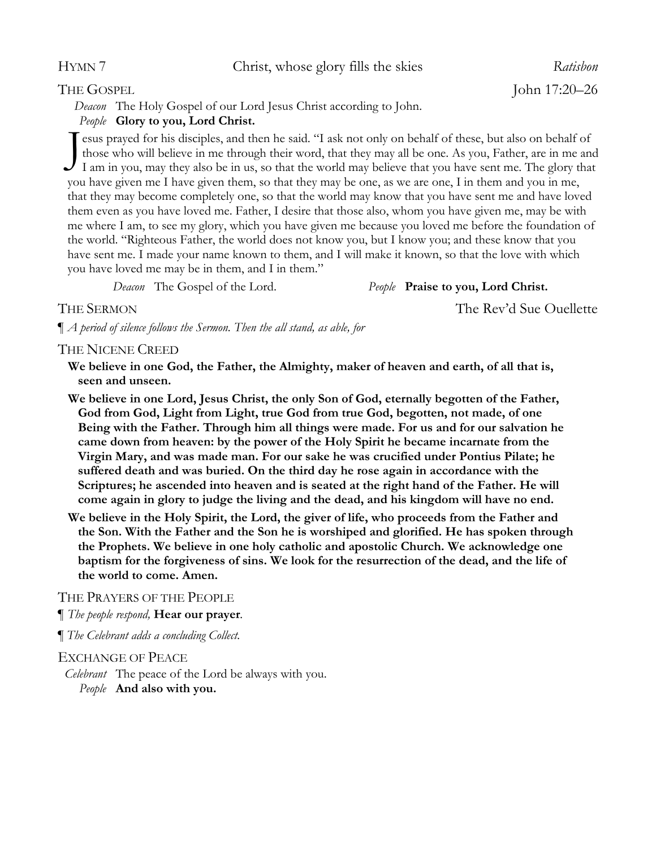HYMN 7 Christ, whose glory fills the skies *Ratisbon*

THE GOSPEL John 17:20–26

*Deacon* The Holy Gospel of our Lord Jesus Christ according to John.

*People* **Glory to you, Lord Christ.**

esus prayed for his disciples, and then he said. "I ask not only on behalf of these, but also on behalf of those who will believe in me through their word, that they may all be one. As you, Father, are in me and I am in you, may they also be in us, so that the world may believe that you have sent me. The glory that  $\frac{1}{1}$  am in you, may they also be in us, so that the world may believe that you have sent me. The glory that you have given me I have given them, so that they may be one, as we are one, I in them and you in me, that they may become completely one, so that the world may know that you have sent me and have loved them even as you have loved me. Father, I desire that those also, whom you have given me, may be with me where I am, to see my glory, which you have given me because you loved me before the foundation of the world. "Righteous Father, the world does not know you, but I know you; and these know that you have sent me. I made your name known to them, and I will make it known, so that the love with which you have loved me may be in them, and I in them."

*Deacon* The Gospel of the Lord. *People* **Praise to you, Lord Christ.**

*¶ A period of silence follows the Sermon. Then the all stand, as able, for*

### THE NICENE CREED

**We believe in one God, the Father, the Almighty, maker of heaven and earth, of all that is, seen and unseen.**

- **We believe in one Lord, Jesus Christ, the only Son of God, eternally begotten of the Father, God from God, Light from Light, true God from true God, begotten, not made, of one Being with the Father. Through him all things were made. For us and for our salvation he came down from heaven: by the power of the Holy Spirit he became incarnate from the Virgin Mary, and was made man. For our sake he was crucified under Pontius Pilate; he suffered death and was buried. On the third day he rose again in accordance with the Scriptures; he ascended into heaven and is seated at the right hand of the Father. He will come again in glory to judge the living and the dead, and his kingdom will have no end.**
- **We believe in the Holy Spirit, the Lord, the giver of life, who proceeds from the Father and the Son. With the Father and the Son he is worshiped and glorified. He has spoken through the Prophets. We believe in one holy catholic and apostolic Church. We acknowledge one baptism for the forgiveness of sins. We look for the resurrection of the dead, and the life of the world to come. Amen.**

THE PRAYERS OF THE PEOPLE

*¶ The people respond,* **Hear our prayer***.*

*¶ The Celebrant adds a concluding Collect.*

EXCHANGE OF PEACE

*Celebrant* The peace of the Lord be always with you. *People* **And also with you.**

THE SERMON The Rev'd Sue Ouellette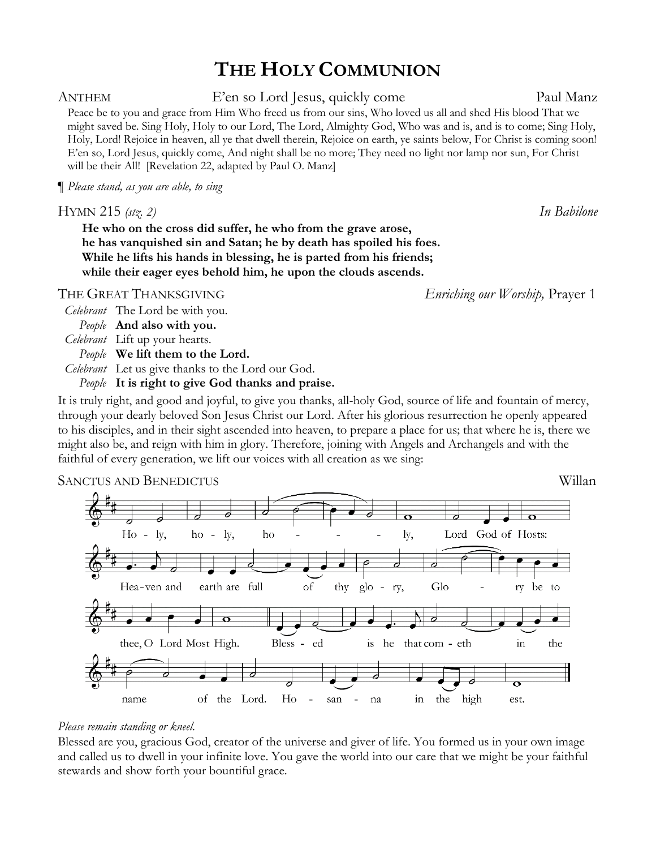# **THE HOLY COMMUNION**

ANTHEM E'en so Lord Jesus, quickly come Paul Manz Peace be to you and grace from Him Who freed us from our sins, Who loved us all and shed His blood That we might saved be. Sing Holy, Holy to our Lord, The Lord, Almighty God, Who was and is, and is to come; Sing Holy, Holy, Lord! Rejoice in heaven, all ye that dwell therein, Rejoice on earth, ye saints below, For Christ is coming soon! E'en so, Lord Jesus, quickly come, And night shall be no more; They need no light nor lamp nor sun, For Christ will be their All! [Revelation 22, adapted by Paul O. Manz]

*¶ Please stand, as you are able, to sing*

### HYMN 215 *(stz. 2) In Babilone*

**He who on the cross did suffer, he who from the grave arose, he has vanquished sin and Satan; he by death has spoiled his foes. While he lifts his hands in blessing, he is parted from his friends; while their eager eyes behold him, he upon the clouds ascends.**

# *Celebrant* The Lord be with you.

*People* **And also with you.** *Celebrant* Lift up your hearts.

THE GREAT THANKSGIVING *Enriching our Worship,* Prayer 1

*People* **We lift them to the Lord.**

*Celebrant* Let us give thanks to the Lord our God.

### *People* **It is right to give God thanks and praise.**

It is truly right, and good and joyful, to give you thanks, all-holy God, source of life and fountain of mercy, through your dearly beloved Son Jesus Christ our Lord. After his glorious resurrection he openly appeared to his disciples, and in their sight ascended into heaven, to prepare a place for us; that where he is, there we might also be, and reign with him in glory. Therefore, joining with Angels and Archangels and with the faithful of every generation, we lift our voices with all creation as we sing:

#### SANCTUS AND BENEDICTUS Willan



#### *Please remain standing or kneel.*

Blessed are you, gracious God, creator of the universe and giver of life. You formed us in your own image and called us to dwell in your infinite love. You gave the world into our care that we might be your faithful stewards and show forth your bountiful grace.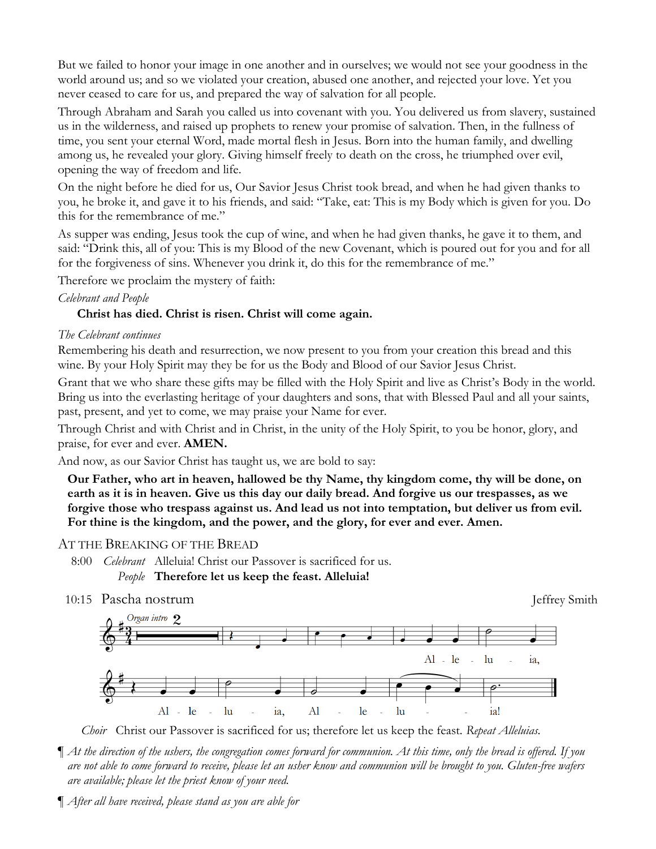But we failed to honor your image in one another and in ourselves; we would not see your goodness in the world around us; and so we violated your creation, abused one another, and rejected your love. Yet you never ceased to care for us, and prepared the way of salvation for all people.

Through Abraham and Sarah you called us into covenant with you. You delivered us from slavery, sustained us in the wilderness, and raised up prophets to renew your promise of salvation. Then, in the fullness of time, you sent your eternal Word, made mortal flesh in Jesus. Born into the human family, and dwelling among us, he revealed your glory. Giving himself freely to death on the cross, he triumphed over evil, opening the way of freedom and life.

On the night before he died for us, Our Savior Jesus Christ took bread, and when he had given thanks to you, he broke it, and gave it to his friends, and said: "Take, eat: This is my Body which is given for you. Do this for the remembrance of me."

As supper was ending, Jesus took the cup of wine, and when he had given thanks, he gave it to them, and said: "Drink this, all of you: This is my Blood of the new Covenant, which is poured out for you and for all for the forgiveness of sins. Whenever you drink it, do this for the remembrance of me."

Therefore we proclaim the mystery of faith:

*Celebrant and People*

#### **Christ has died. Christ is risen. Christ will come again.**

#### *The Celebrant continues*

Remembering his death and resurrection, we now present to you from your creation this bread and this wine. By your Holy Spirit may they be for us the Body and Blood of our Savior Jesus Christ.

Grant that we who share these gifts may be filled with the Holy Spirit and live as Christ's Body in the world. Bring us into the everlasting heritage of your daughters and sons, that with Blessed Paul and all your saints, past, present, and yet to come, we may praise your Name for ever.

Through Christ and with Christ and in Christ, in the unity of the Holy Spirit, to you be honor, glory, and praise, for ever and ever. **AMEN.**

And now, as our Savior Christ has taught us, we are bold to say:

**Our Father, who art in heaven, hallowed be thy Name, thy kingdom come, thy will be done, on earth as it is in heaven. Give us this day our daily bread. And forgive us our trespasses, as we forgive those who trespass against us. And lead us not into temptation, but deliver us from evil. For thine is the kingdom, and the power, and the glory, for ever and ever. Amen.**

#### AT THE BREAKING OF THE BREAD

8:00 *Celebrant* Alleluia! Christ our Passover is sacrificed for us.

#### *People* **Therefore let us keep the feast. Alleluia!**



*Choir* Christ our Passover is sacrificed for us; therefore let us keep the feast. *Repeat Alleluias.*

*¶ At the direction of the ushers, the congregation comes forward for communion. At this time, only the bread is offered. If you are not able to come forward to receive, please let an usher know and communion will be brought to you. Gluten-free wafers are available; please let the priest know of your need.*

*¶ After all have received, please stand as you are able for*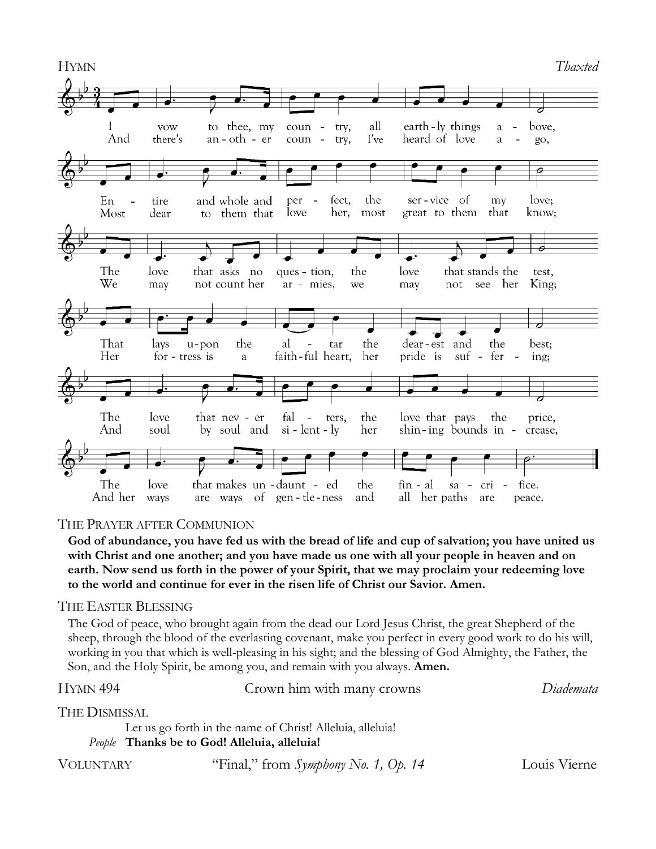

#### THE PRAYER AFTER COMMUNION

**God of abundance, you have fed us with the bread of life and cup of salvation; you have united us with Christ and one another; and you have made us one with all your people in heaven and on earth. Now send us forth in the power of your Spirit, that we may proclaim your redeeming love to the world and continue for ever in the risen life of Christ our Savior. Amen.**

#### THE EASTER BLESSING

The God of peace, who brought again from the dead our Lord Jesus Christ, the great Shepherd of the sheep, through the blood of the everlasting covenant, make you perfect in every good work to do his will, working in you that which is well-pleasing in his sight; and the blessing of God Almighty, the Father, the Son, and the Holy Spirit, be among you, and remain with you always. **Amen.**

HYMN 494 Crown him with many crowns *Diademata* THE DISMISSAL Let us go forth in the name of Christ! Alleluia, alleluia! *People* **Thanks be to God! Alleluia, alleluia!** VOLUNTARY "Final," from *Symphony No. 1, Op. 14* Louis Vierne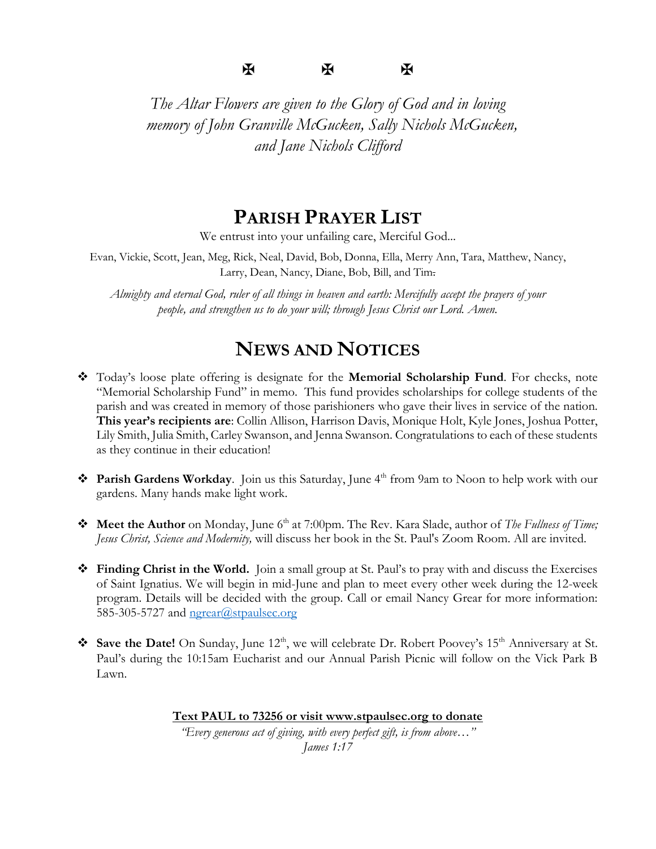# 医 医 医

*The Altar Flowers are given to the Glory of God and in loving memory of John Granville McGucken, Sally Nichols McGucken, and Jane Nichols Clifford*

## **PARISH PRAYER LIST**

We entrust into your unfailing care, Merciful God...

Evan, Vickie, Scott, Jean, Meg, Rick, Neal, David, Bob, Donna, Ella, Merry Ann, Tara, Matthew, Nancy, Larry, Dean, Nancy, Diane, Bob, Bill, and Tim.

*Almighty and eternal God, ruler of all things in heaven and earth: Mercifully accept the prayers of your people, and strengthen us to do your will; through Jesus Christ our Lord. Amen.*

# **NEWS AND NOTICES**

- Today's loose plate offering is designate for the **Memorial Scholarship Fund**. For checks, note "Memorial Scholarship Fund" in memo. This fund provides scholarships for college students of the parish and was created in memory of those parishioners who gave their lives in service of the nation. **This year's recipients are**: Collin Allison, Harrison Davis, Monique Holt, Kyle Jones, Joshua Potter, Lily Smith, Julia Smith, Carley Swanson, and Jenna Swanson. Congratulations to each of these students as they continue in their education!
- \* Parish Gardens Workday. Join us this Saturday, June 4<sup>th</sup> from 9am to Noon to help work with our gardens. Many hands make light work.
- **Meet the Author** on Monday, June 6<sup>th</sup> at 7:00pm. The Rev. Kara Slade, author of *The Fullness of Time*; *Jesus Christ, Science and Modernity,* will discuss her book in the St. Paul's Zoom Room. All are invited.
- **Finding Christ in the World.** Join a small group at St. Paul's to pray with and discuss the Exercises of Saint Ignatius. We will begin in mid-June and plan to meet every other week during the 12-week program. Details will be decided with the group. Call or email Nancy Grear for more information: 585-305-5727 and [ngrear@stpaulsec.org](mailto:ngrear@stpaulsec.org)
- Save the Date! On Sunday, June 12<sup>th</sup>, we will celebrate Dr. Robert Poovey's 15<sup>th</sup> Anniversary at St. Paul's during the 10:15am Eucharist and our Annual Parish Picnic will follow on the Vick Park B Lawn.

**Text PAUL to 73256 or visit [www.stpaulsec.org](http://www.stpaulsec.org/donate) to donate**

*"Every generous act of giving, with every perfect gift, is from above…" James 1:17*